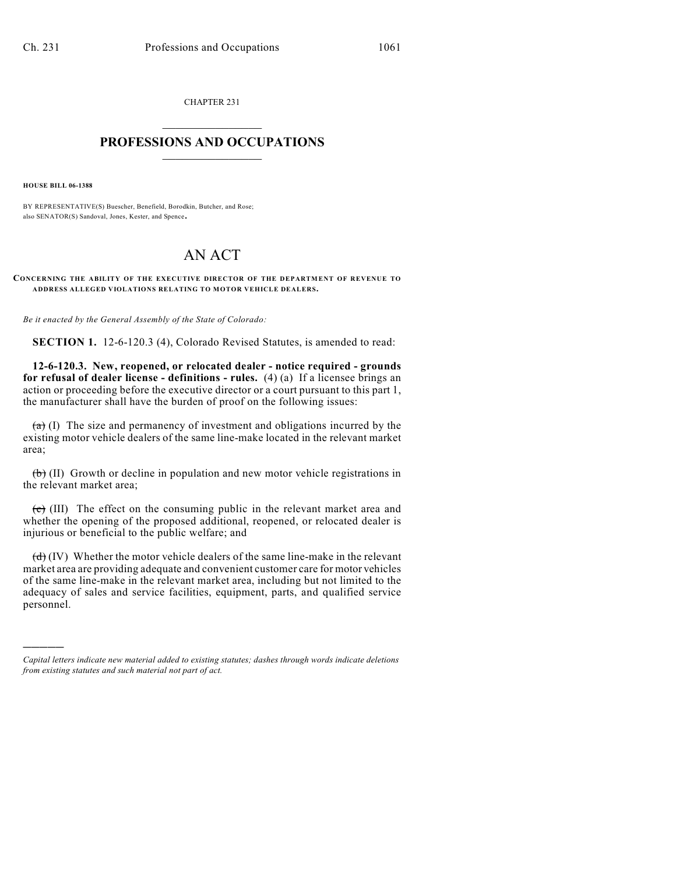CHAPTER 231  $\overline{\phantom{a}}$  . The set of the set of the set of the set of the set of the set of the set of the set of the set of the set of the set of the set of the set of the set of the set of the set of the set of the set of the set o

## **PROFESSIONS AND OCCUPATIONS**  $\frac{1}{2}$  ,  $\frac{1}{2}$  ,  $\frac{1}{2}$  ,  $\frac{1}{2}$  ,  $\frac{1}{2}$  ,  $\frac{1}{2}$

**HOUSE BILL 06-1388**

)))))

BY REPRESENTATIVE(S) Buescher, Benefield, Borodkin, Butcher, and Rose; also SENATOR(S) Sandoval, Jones, Kester, and Spence.

## AN ACT

**CONCERNING THE ABILITY OF THE EXECUTIVE DIRECTOR OF THE DEPARTMENT OF REVENUE TO ADDRESS ALLEGED VIOLATIONS RELATING TO MOTOR VEHICLE DEALERS.**

*Be it enacted by the General Assembly of the State of Colorado:*

**SECTION 1.** 12-6-120.3 (4), Colorado Revised Statutes, is amended to read:

**12-6-120.3. New, reopened, or relocated dealer - notice required - grounds for refusal of dealer license - definitions - rules.** (4) (a) If a licensee brings an action or proceeding before the executive director or a court pursuant to this part 1, the manufacturer shall have the burden of proof on the following issues:

 $(a)$  (I) The size and permanency of investment and obligations incurred by the existing motor vehicle dealers of the same line-make located in the relevant market area;

 $\left(\frac{b}{b}\right)$  (II) Growth or decline in population and new motor vehicle registrations in the relevant market area;

 $\overline{(c)}$  (III) The effect on the consuming public in the relevant market area and whether the opening of the proposed additional, reopened, or relocated dealer is injurious or beneficial to the public welfare; and

 $(d)$  (IV) Whether the motor vehicle dealers of the same line-make in the relevant market area are providing adequate and convenient customer care for motor vehicles of the same line-make in the relevant market area, including but not limited to the adequacy of sales and service facilities, equipment, parts, and qualified service personnel.

*Capital letters indicate new material added to existing statutes; dashes through words indicate deletions from existing statutes and such material not part of act.*